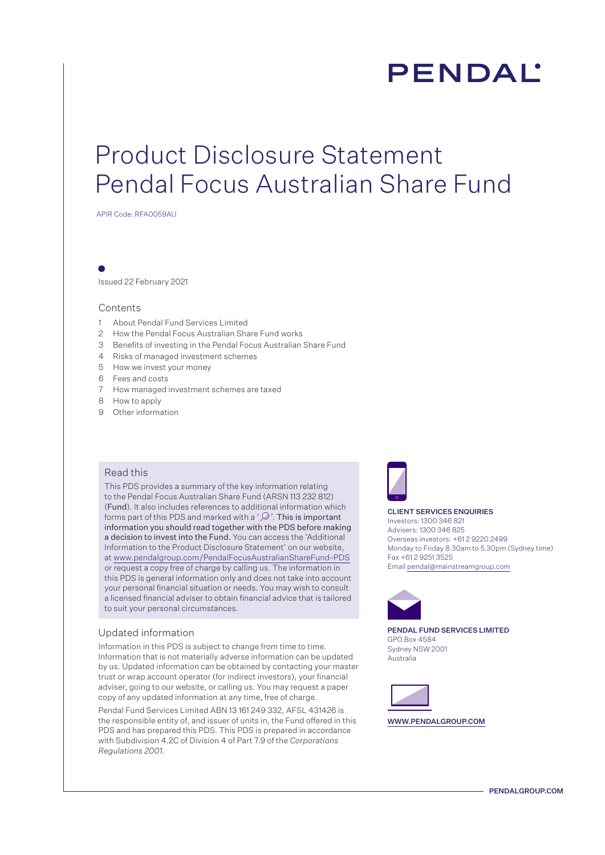# **PENDAL**

## Product Disclosure Statement Pendal Focus Australian Share Fund

APIR Code: RFA0059AU

Issued 22 February 2021

### Contents

- 1 About Pendal Fund Services Limited
- 2 How the Pendal Focus Australian Share Fund works
- 3 Benefits of investing in the Pendal Focus Australian Share Fund
- 4 Risks of managed investment schemes
- 5 How we invest your money
- 6 Fees and costs
- 7 How managed investment schemes are taxed
- 8 How to apply
- 9 Other information

### Read this

This PDS provides a summary of the key information relating to the Pendal Focus Australian Share Fund (ARSN 113 232 812) (Fund). It also includes references to additional information which forms part of this PDS and marked with a ' $\mathcal{D}$ '. This is important information you should read together with the PDS before making a decision to invest into the Fund. You can access the 'Additional Information to the Product Disclosure Statement' on our website, at www.pendalgroup.com/PendalFocusAustralianShareFund-PDS or request a copy free of charge by calling us. The information in this PDS is general information only and does not take into account your personal financial situation or needs. You may wish to consult a licensed financial adviser to obtain financial advice that is tailored to suit your personal circumstances.

#### Updated information

Information in this PDS is subject to change from time to time. Information that is not materially adverse information can be updated by us. Updated information can be obtained by contacting your master trust or wrap account operator (for indirect investors), your financial adviser, going to our website, or calling us. You may request a paper copy of any updated information at any time, free of charge.

Pendal Fund Services Limited ABN 13 161 249 332, AFSL 431426 is the responsible entity of, and issuer of units in, the Fund offered in this PDS and has prepared this PDS. This PDS is prepared in accordance with Subdivision 4.2C of Division 4 of Part 7.9 of the *Corporations Regulations 2001.* 



#### CLIENT SERVICES ENQUIRIES

Investors: 1300 346 821 Advisers: 1300 346 825 Overseas investors: +61 2 9220 2499 Monday to Friday 8.30am to 5.30pm (Sydney time) Fax +61 2 9251 3525 Email pendal@mainstreamgroup.com



PENDAL FUND SERVICES LIMITED GPO Box 4584 Sydney NSW 2001 Australia



WWW.PENDALGROUP.COM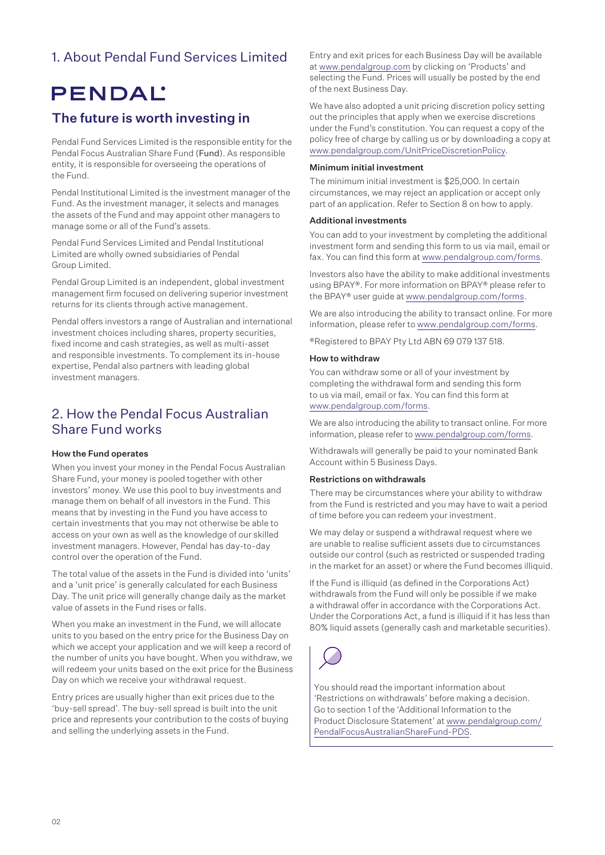### 1. About Pendal Fund Services Limited

## PENDAL

### The future is worth investing in

Pendal Fund Services Limited is the responsible entity for the Pendal Focus Australian Share Fund (Fund). As responsible entity, it is responsible for overseeing the operations of the Fund.

Pendal Institutional Limited is the investment manager of the Fund. As the investment manager, it selects and manages the assets of the Fund and may appoint other managers to manage some or all of the Fund's assets.

Pendal Fund Services Limited and Pendal Institutional Limited are wholly owned subsidiaries of Pendal Group Limited.

Pendal Group Limited is an independent, global investment management firm focused on delivering superior investment returns for its clients through active management.

Pendal offers investors a range of Australian and international investment choices including shares, property securities, fixed income and cash strategies, as well as multi-asset and responsible investments. To complement its in-house expertise, Pendal also partners with leading global investment managers.

### 2. How the Pendal Focus Australian Share Fund works

### How the Fund operates

When you invest your money in the Pendal Focus Australian Share Fund, your money is pooled together with other investors' money. We use this pool to buy investments and manage them on behalf of all investors in the Fund. This means that by investing in the Fund you have access to certain investments that you may not otherwise be able to access on your own as well as the knowledge of our skilled investment managers. However, Pendal has day-to-day control over the operation of the Fund.

The total value of the assets in the Fund is divided into 'units' and a 'unit price' is generally calculated for each Business Day. The unit price will generally change daily as the market value of assets in the Fund rises or falls.

When you make an investment in the Fund, we will allocate units to you based on the entry price for the Business Day on which we accept your application and we will keep a record of the number of units you have bought. When you withdraw, we will redeem your units based on the exit price for the Business Day on which we receive your withdrawal request.

Entry prices are usually higher than exit prices due to the 'buy-sell spread'. The buy-sell spread is built into the unit price and represents your contribution to the costs of buying and selling the underlying assets in the Fund.

Entry and exit prices for each Business Day will be available at www.pendalgroup.com by clicking on 'Products' and selecting the Fund. Prices will usually be posted by the end of the next Business Day.

We have also adopted a unit pricing discretion policy setting out the principles that apply when we exercise discretions under the Fund's constitution. You can request a copy of the policy free of charge by calling us or by downloading a copy at www.pendalgroup.com/UnitPriceDiscretionPolicy.

### Minimum initial investment

The minimum initial investment is \$25,000. In certain circumstances, we may reject an application or accept only part of an application. Refer to Section 8 on how to apply.

### Additional investments

You can add to your investment by completing the additional investment form and sending this form to us via mail, email or fax. You can find this form at www.pendalgroup.com/forms.

Investors also have the ability to make additional investments using BPAY®. For more information on BPAY® please refer to the BPAY® user guide at www.pendalgroup.com/forms.

We are also introducing the ability to transact online. For more information, please refer to www.pendalgroup.com/forms.

®Registered to BPAY Pty Ltd ABN 69 079 137 518.

### How to withdraw

You can withdraw some or all of your investment by completing the withdrawal form and sending this form to us via mail, email or fax. You can find this form at www.pendalgroup.com/forms.

We are also introducing the ability to transact online. For more information, please refer to www.pendalgroup.com/forms.

Withdrawals will generally be paid to your nominated Bank Account within 5 Business Days.

### Restrictions on withdrawals

There may be circumstances where your ability to withdraw from the Fund is restricted and you may have to wait a period of time before you can redeem your investment.

We may delay or suspend a withdrawal request where we are unable to realise sufficient assets due to circumstances outside our control (such as restricted or suspended trading in the market for an asset) or where the Fund becomes illiquid.

If the Fund is illiquid (as defined in the Corporations Act) withdrawals from the Fund will only be possible if we make a withdrawal offer in accordance with the Corporations Act. Under the Corporations Act, a fund is illiquid if it has less than 80% liquid assets (generally cash and marketable securities).



You should read the important information about 'Restrictions on withdrawals' before making a decision. Go to section 1 of the 'Additional Information to the Product Disclosure Statement' at [www.pendalgroup.com/](www.pendalgroup.com/PendalFocusAustralianShareFund-PDS) [PendalFocusAustralianShareFund-PDS](www.pendalgroup.com/PendalFocusAustralianShareFund-PDS).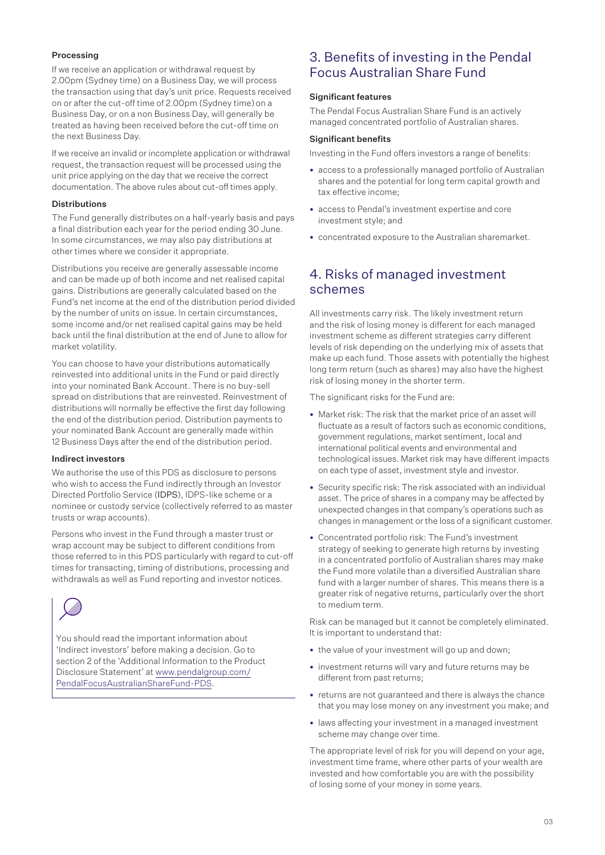### Processing

If we receive an application or withdrawal request by 2.00pm (Sydney time) on a Business Day, we will process the transaction using that day's unit price. Requests received on or after the cut-off time of 2.00pm (Sydney time) on a Business Day, or on a non Business Day, will generally be treated as having been received before the cut-off time on the next Business Day.

If we receive an invalid or incomplete application or withdrawal request, the transaction request will be processed using the unit price applying on the day that we receive the correct documentation. The above rules about cut-off times apply.

### **Distributions**

The Fund generally distributes on a half-yearly basis and pays a final distribution each year for the period ending 30 June. In some circumstances, we may also pay distributions at other times where we consider it appropriate.

Distributions you receive are generally assessable income and can be made up of both income and net realised capital gains. Distributions are generally calculated based on the Fund's net income at the end of the distribution period divided by the number of units on issue. In certain circumstances, some income and/or net realised capital gains may be held back until the final distribution at the end of June to allow for market volatility.

You can choose to have your distributions automatically reinvested into additional units in the Fund or paid directly into your nominated Bank Account. There is no buy-sell spread on distributions that are reinvested. Reinvestment of distributions will normally be effective the first day following the end of the distribution period. Distribution payments to your nominated Bank Account are generally made within 12 Business Days after the end of the distribution period.

### Indirect investors

We authorise the use of this PDS as disclosure to persons who wish to access the Fund indirectly through an Investor Directed Portfolio Service (IDPS), IDPS-like scheme or a nominee or custody service (collectively referred to as master trusts or wrap accounts).

Persons who invest in the Fund through a master trust or wrap account may be subject to different conditions from those referred to in this PDS particularly with regard to cut-off times for transacting, timing of distributions, processing and withdrawals as well as Fund reporting and investor notices.



You should read the important information about 'Indirect investors' before making a decision. Go to section 2 of the 'Additional Information to the Product Disclosure Statement' at [www.pendalgroup.com/](www.pendalgroup.com/PendalFocusAustralianShareFund-PDS) [PendalFocusAustralianShareFund-PDS](www.pendalgroup.com/PendalFocusAustralianShareFund-PDS).

### 3. Benefits of investing in the Pendal Focus Australian Share Fund

### Significant features

The Pendal Focus Australian Share Fund is an actively managed concentrated portfolio of Australian shares.

### Significant benefits

Investing in the Fund offers investors a range of benefits:

- access to a professionally managed portfolio of Australian shares and the potential for long term capital growth and tax effective income;
- access to Pendal's investment expertise and core investment style; and
- concentrated exposure to the Australian sharemarket.

### 4. Risks of managed investment schemes

All investments carry risk. The likely investment return and the risk of losing money is different for each managed investment scheme as different strategies carry different levels of risk depending on the underlying mix of assets that make up each fund. Those assets with potentially the highest long term return (such as shares) may also have the highest risk of losing money in the shorter term.

The significant risks for the Fund are:

- Market risk: The risk that the market price of an asset will fluctuate as a result of factors such as economic conditions, government regulations, market sentiment, local and international political events and environmental and technological issues. Market risk may have different impacts on each type of asset, investment style and investor.
- Security specific risk: The risk associated with an individual asset. The price of shares in a company may be affected by unexpected changes in that company's operations such as changes in management or the loss of a significant customer.
- Concentrated portfolio risk: The Fund's investment strategy of seeking to generate high returns by investing in a concentrated portfolio of Australian shares may make the Fund more volatile than a diversified Australian share fund with a larger number of shares. This means there is a greater risk of negative returns, particularly over the short to medium term.

Risk can be managed but it cannot be completely eliminated. It is important to understand that:

- the value of your investment will go up and down;
- investment returns will vary and future returns may be different from past returns;
- returns are not guaranteed and there is always the chance that you may lose money on any investment you make; and
- laws affecting your investment in a managed investment scheme may change over time.

The appropriate level of risk for you will depend on your age, investment time frame, where other parts of your wealth are invested and how comfortable you are with the possibility of losing some of your money in some years.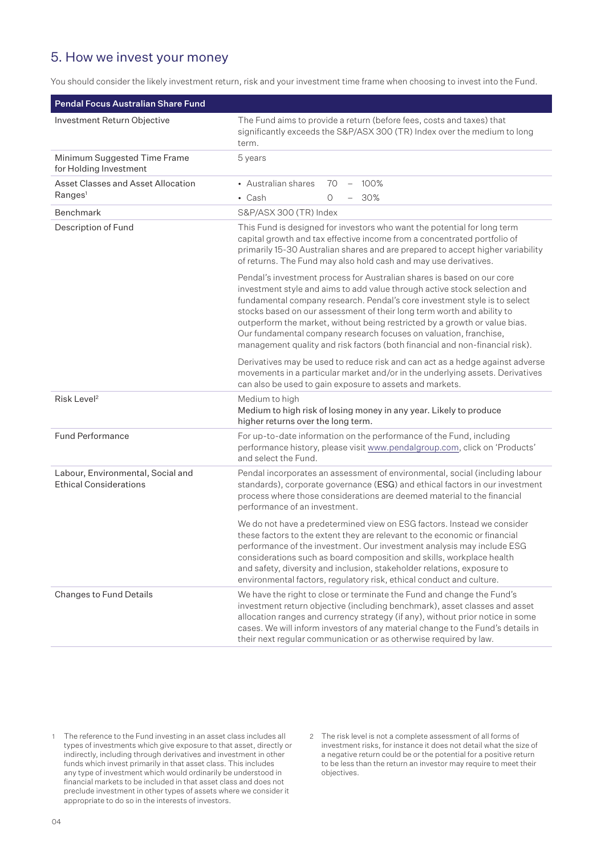### 5. How we invest your money

You should consider the likely investment return, risk and your investment time frame when choosing to invest into the Fund.

| <b>Pendal Focus Australian Share Fund</b>                          |                                                                                                                                                                                                                                                                                                                                                                                                                                                                                                                                               |
|--------------------------------------------------------------------|-----------------------------------------------------------------------------------------------------------------------------------------------------------------------------------------------------------------------------------------------------------------------------------------------------------------------------------------------------------------------------------------------------------------------------------------------------------------------------------------------------------------------------------------------|
| Investment Return Objective                                        | The Fund aims to provide a return (before fees, costs and taxes) that<br>significantly exceeds the S&P/ASX 300 (TR) Index over the medium to long<br>term.                                                                                                                                                                                                                                                                                                                                                                                    |
| Minimum Suggested Time Frame<br>for Holding Investment             | 5 years                                                                                                                                                                                                                                                                                                                                                                                                                                                                                                                                       |
| Asset Classes and Asset Allocation<br>Ranges <sup>1</sup>          | • Australian shares<br>100%<br>70<br>$\overline{\phantom{m}}$<br>$\cdot$ Cash<br>- 30%<br>0                                                                                                                                                                                                                                                                                                                                                                                                                                                   |
| <b>Benchmark</b>                                                   | S&P/ASX 300 (TR) Index                                                                                                                                                                                                                                                                                                                                                                                                                                                                                                                        |
| Description of Fund                                                | This Fund is designed for investors who want the potential for long term<br>capital growth and tax effective income from a concentrated portfolio of<br>primarily 15-30 Australian shares and are prepared to accept higher variability<br>of returns. The Fund may also hold cash and may use derivatives.                                                                                                                                                                                                                                   |
|                                                                    | Pendal's investment process for Australian shares is based on our core<br>investment style and aims to add value through active stock selection and<br>fundamental company research. Pendal's core investment style is to select<br>stocks based on our assessment of their long term worth and ability to<br>outperform the market, without being restricted by a growth or value bias.<br>Our fundamental company research focuses on valuation, franchise,<br>management quality and risk factors (both financial and non-financial risk). |
|                                                                    | Derivatives may be used to reduce risk and can act as a hedge against adverse<br>movements in a particular market and/or in the underlying assets. Derivatives<br>can also be used to gain exposure to assets and markets.                                                                                                                                                                                                                                                                                                                    |
| Risk Level <sup>2</sup>                                            | Medium to high<br>Medium to high risk of losing money in any year. Likely to produce<br>higher returns over the long term.                                                                                                                                                                                                                                                                                                                                                                                                                    |
| <b>Fund Performance</b>                                            | For up-to-date information on the performance of the Fund, including<br>performance history, please visit www.pendalgroup.com, click on 'Products'<br>and select the Fund.                                                                                                                                                                                                                                                                                                                                                                    |
| Labour, Environmental, Social and<br><b>Ethical Considerations</b> | Pendal incorporates an assessment of environmental, social (including labour<br>standards), corporate governance (ESG) and ethical factors in our investment<br>process where those considerations are deemed material to the financial<br>performance of an investment.                                                                                                                                                                                                                                                                      |
|                                                                    | We do not have a predetermined view on ESG factors. Instead we consider<br>these factors to the extent they are relevant to the economic or financial<br>performance of the investment. Our investment analysis may include ESG<br>considerations such as board composition and skills, workplace health<br>and safety, diversity and inclusion, stakeholder relations, exposure to<br>environmental factors, regulatory risk, ethical conduct and culture.                                                                                   |
| Changes to Fund Details                                            | We have the right to close or terminate the Fund and change the Fund's<br>investment return objective (including benchmark), asset classes and asset<br>allocation ranges and currency strategy (if any), without prior notice in some<br>cases. We will inform investors of any material change to the Fund's details in<br>their next regular communication or as otherwise required by law.                                                                                                                                                |

<sup>1</sup> The reference to the Fund investing in an asset class includes all types of investments which give exposure to that asset, directly or indirectly, including through derivatives and investment in other funds which invest primarily in that asset class. This includes any type of investment which would ordinarily be understood in financial markets to be included in that asset class and does not preclude investment in other types of assets where we consider it appropriate to do so in the interests of investors.

<sup>2</sup> The risk level is not a complete assessment of all forms of investment risks, for instance it does not detail what the size of a negative return could be or the potential for a positive return to be less than the return an investor may require to meet their objectives.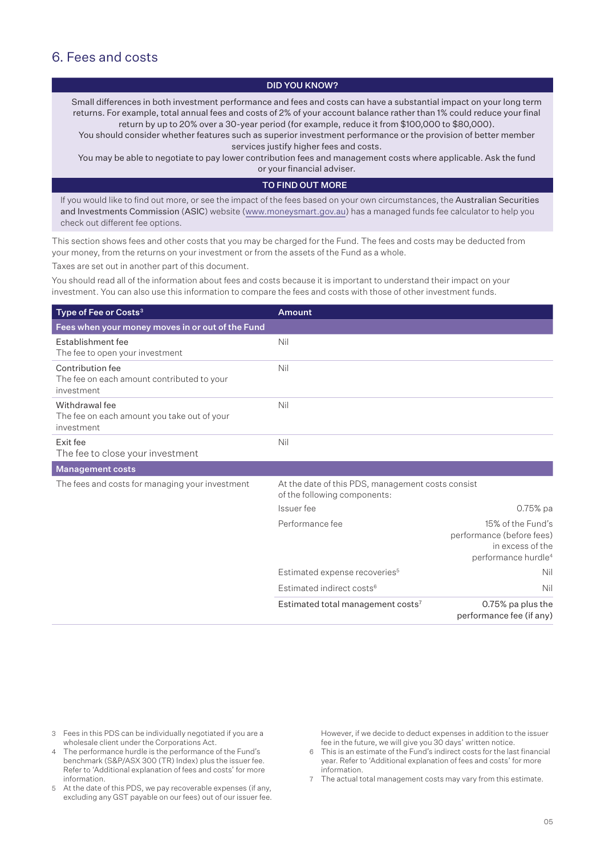### 6. Fees and costs

### DID YOU KNOW?

Small differences in both investment performance and fees and costs can have a substantial impact on your long term returns. For example, total annual fees and costs of 2% of your account balance rather than 1% could reduce your final return by up to 20% over a 30-year period (for example, reduce it from \$100,000 to \$80,000).

You should consider whether features such as superior investment performance or the provision of better member services justify higher fees and costs.

You may be able to negotiate to pay lower contribution fees and management costs where applicable. Ask the fund or your financial adviser.

### TO FIND OUT MORE

If you would like to find out more, or see the impact of the fees based on your own circumstances, the Australian Securities and Investments Commission (ASIC) website (www.moneysmart.gov.au) has a managed funds fee calculator to help you check out different fee options.

This section shows fees and other costs that you may be charged for the Fund. The fees and costs may be deducted from your money, from the returns on your investment or from the assets of the Fund as a whole.

Taxes are set out in another part of this document.

You should read all of the information about fees and costs because it is important to understand their impact on your investment. You can also use this information to compare the fees and costs with those of other investment funds.

| Type of Fee or Costs <sup>3</sup>                                            | <b>Amount</b>                                                                     |                                                                                                       |
|------------------------------------------------------------------------------|-----------------------------------------------------------------------------------|-------------------------------------------------------------------------------------------------------|
| Fees when your money moves in or out of the Fund                             |                                                                                   |                                                                                                       |
| Establishment fee<br>The fee to open your investment                         | Nil                                                                               |                                                                                                       |
| Contribution fee<br>The fee on each amount contributed to your<br>investment | Nil                                                                               |                                                                                                       |
| Withdrawal fee<br>The fee on each amount you take out of your<br>investment  | Nil                                                                               |                                                                                                       |
| Exit fee<br>The fee to close your investment                                 | Nil                                                                               |                                                                                                       |
| <b>Management costs</b>                                                      |                                                                                   |                                                                                                       |
| The fees and costs for managing your investment                              | At the date of this PDS, management costs consist<br>of the following components: |                                                                                                       |
|                                                                              | Issuer fee                                                                        | $0.75%$ pa                                                                                            |
|                                                                              | Performance fee                                                                   | 15% of the Fund's<br>performance (before fees)<br>in excess of the<br>performance hurdle <sup>4</sup> |
|                                                                              | Estimated expense recoveries <sup>5</sup>                                         | Nil                                                                                                   |
|                                                                              | Estimated indirect costs <sup>6</sup>                                             | Nil                                                                                                   |
|                                                                              | Estimated total management costs <sup>7</sup>                                     | 0.75% pa plus the<br>performance fee (if any)                                                         |

- 3 Fees in this PDS can be individually negotiated if you are a wholesale client under the Corporations Act.
- The performance hurdle is the performance of the Fund's benchmark (S&P/ASX 300 (TR) Index) plus the issuer fee. Refer to 'Additional explanation of fees and costs' for more information.
- 5 At the date of this PDS, we pay recoverable expenses (if any, excluding any GST payable on our fees) out of our issuer fee.

However, if we decide to deduct expenses in addition to the issuer fee in the future, we will give you 30 days' written notice.

- 6 This is an estimate of the Fund's indirect costs for the last financial year. Refer to 'Additional explanation of fees and costs' for more information.
- 7 The actual total management costs may vary from this estimate.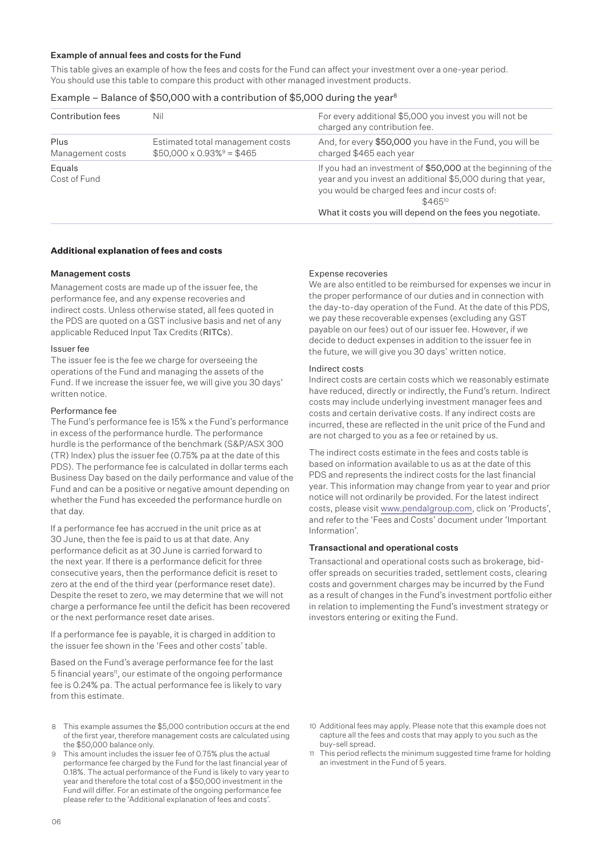### Example of annual fees and costs for the Fund

This table gives an example of how the fees and costs for the Fund can affect your investment over a one-year period. You should use this table to compare this product with other managed investment products.

### Example – Balance of \$50,000 with a contribution of \$5,000 during the year<sup>8</sup>

| Contribution fees        | Nil                                                                | For every additional \$5,000 you invest you will not be<br>charged any contribution fee.                                                                                                                                                                |
|--------------------------|--------------------------------------------------------------------|---------------------------------------------------------------------------------------------------------------------------------------------------------------------------------------------------------------------------------------------------------|
| Plus<br>Management costs | Estimated total management costs<br>$$50,000 \times 0.93\% = $465$ | And, for every \$50,000 you have in the Fund, you will be<br>charged \$465 each year                                                                                                                                                                    |
| Equals<br>Cost of Fund   |                                                                    | If you had an investment of \$50,000 at the beginning of the<br>year and you invest an additional \$5,000 during that year,<br>you would be charged fees and incur costs of:<br>$$465^{10}$<br>What it costs you will depend on the fees you negotiate. |

### **Additional explanation of fees and costs**

### Management costs

Management costs are made up of the issuer fee, the performance fee, and any expense recoveries and indirect costs. Unless otherwise stated, all fees quoted in the PDS are quoted on a GST inclusive basis and net of any applicable Reduced Input Tax Credits (RITCs).

### Issuer fee

The issuer fee is the fee we charge for overseeing the operations of the Fund and managing the assets of the Fund. If we increase the issuer fee, we will give you 30 days' written notice.

### Performance fee

The Fund's performance fee is 15% x the Fund's performance in excess of the performance hurdle. The performance hurdle is the performance of the benchmark (S&P/ASX 300 (TR) Index) plus the issuer fee (0.75% pa at the date of this PDS). The performance fee is calculated in dollar terms each Business Day based on the daily performance and value of the Fund and can be a positive or negative amount depending on whether the Fund has exceeded the performance hurdle on that day.

If a performance fee has accrued in the unit price as at 30 June, then the fee is paid to us at that date. Any performance deficit as at 30 June is carried forward to the next year. If there is a performance deficit for three consecutive years, then the performance deficit is reset to zero at the end of the third year (performance reset date). Despite the reset to zero, we may determine that we will not charge a performance fee until the deficit has been recovered or the next performance reset date arises.

If a performance fee is payable, it is charged in addition to the issuer fee shown in the 'Fees and other costs' table.

Based on the Fund's average performance fee for the last 5 financial years<sup>11</sup>, our estimate of the ongoing performance fee is 0.24% pa. The actual performance fee is likely to vary from this estimate.

- 8 This example assumes the \$5,000 contribution occurs at the end of the first year, therefore management costs are calculated using the \$50,000 balance only.
- 9 This amount includes the issuer fee of 0.75% plus the actual performance fee charged by the Fund for the last financial year of 0.18%. The actual performance of the Fund is likely to vary year to year and therefore the total cost of a \$50,000 investment in the Fund will differ. For an estimate of the ongoing performance fee please refer to the 'Additional explanation of fees and costs'.

### Expense recoveries

We are also entitled to be reimbursed for expenses we incur in the proper performance of our duties and in connection with the day-to-day operation of the Fund. At the date of this PDS, we pay these recoverable expenses (excluding any GST payable on our fees) out of our issuer fee. However, if we decide to deduct expenses in addition to the issuer fee in the future, we will give you 30 days' written notice.

### Indirect costs

Indirect costs are certain costs which we reasonably estimate have reduced, directly or indirectly, the Fund's return. Indirect costs may include underlying investment manager fees and costs and certain derivative costs. If any indirect costs are incurred, these are reflected in the unit price of the Fund and are not charged to you as a fee or retained by us.

The indirect costs estimate in the fees and costs table is based on information available to us as at the date of this PDS and represents the indirect costs for the last financial year. This information may change from year to year and prior notice will not ordinarily be provided. For the latest indirect costs, please visit www.pendalgroup.com, click on 'Products', and refer to the 'Fees and Costs' document under 'Important Information'.

### Transactional and operational costs

Transactional and operational costs such as brokerage, bidoffer spreads on securities traded, settlement costs, clearing costs and government charges may be incurred by the Fund as a result of changes in the Fund's investment portfolio either in relation to implementing the Fund's investment strategy or investors entering or exiting the Fund.

- 10 Additional fees may apply. Please note that this example does not capture all the fees and costs that may apply to you such as the buy-sell spread.
- 11 This period reflects the minimum suggested time frame for holding an investment in the Fund of 5 years.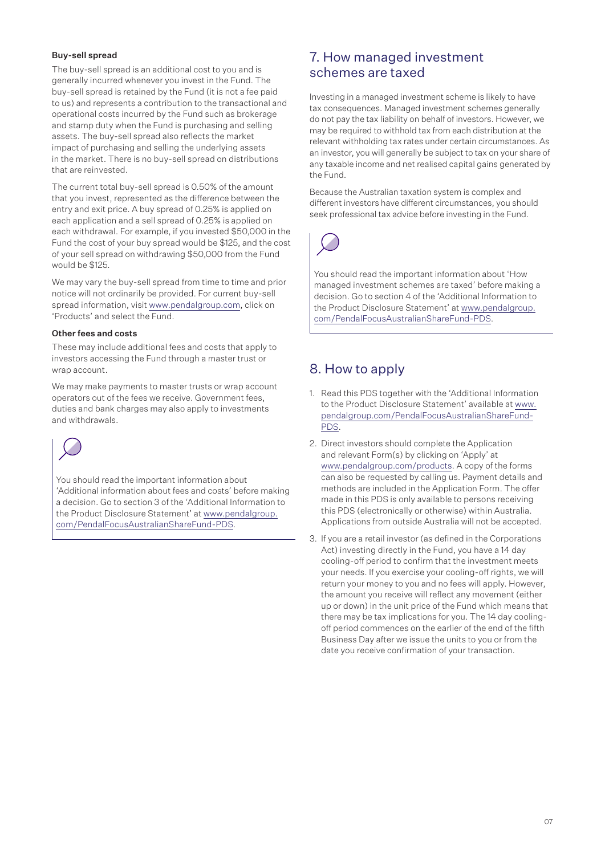### Buy-sell spread

The buy-sell spread is an additional cost to you and is generally incurred whenever you invest in the Fund. The buy-sell spread is retained by the Fund (it is not a fee paid to us) and represents a contribution to the transactional and operational costs incurred by the Fund such as brokerage and stamp duty when the Fund is purchasing and selling assets. The buy-sell spread also reflects the market impact of purchasing and selling the underlying assets in the market. There is no buy-sell spread on distributions that are reinvested.

The current total buy-sell spread is 0.50% of the amount that you invest, represented as the difference between the entry and exit price. A buy spread of 0.25% is applied on each application and a sell spread of 0.25% is applied on each withdrawal. For example, if you invested \$50,000 in the Fund the cost of your buy spread would be \$125, and the cost of your sell spread on withdrawing \$50,000 from the Fund would be \$125.

We may vary the buy-sell spread from time to time and prior notice will not ordinarily be provided. For current buy-sell spread information, visit www.pendalgroup.com, click on 'Products' and select the Fund.

### Other fees and costs

These may include additional fees and costs that apply to investors accessing the Fund through a master trust or wrap account.

We may make payments to master trusts or wrap account operators out of the fees we receive. Government fees, duties and bank charges may also apply to investments and withdrawals.



You should read the important information about 'Additional information about fees and costs' before making a decision. Go to section 3 of the 'Additional Information to the Product Disclosure Statement' at [www.pendalgroup.](www.pendalgroup.com/PendalFocusAustralianShareFund-PDS) [com/PendalFocusAustralianShareFund-PDS.](www.pendalgroup.com/PendalFocusAustralianShareFund-PDS)

### 7. How managed investment schemes are taxed

Investing in a managed investment scheme is likely to have tax consequences. Managed investment schemes generally do not pay the tax liability on behalf of investors. However, we may be required to withhold tax from each distribution at the relevant withholding tax rates under certain circumstances. As an investor, you will generally be subject to tax on your share of any taxable income and net realised capital gains generated by the Fund.

Because the Australian taxation system is complex and different investors have different circumstances, you should seek professional tax advice before investing in the Fund.



You should read the important information about 'How managed investment schemes are taxed' before making a decision. Go to section 4 of the 'Additional Information to the Product Disclosure Statement' at [www.pendalgroup.](www.pendalgroup.com/PendalFocusAustralianShareFund-PDS) [com/PendalFocusAustralianShareFund-PDS](www.pendalgroup.com/PendalFocusAustralianShareFund-PDS).

## 8. How to apply

- 1. Read this PDS together with the 'Additional Information to the Product Disclosure Statement' available at [www.](www.pendalgroup.com/PendalFocusAustralianShareFund-PDS) [pendalgroup.com/PendalFocusAustralianShareFund-](www.pendalgroup.com/PendalFocusAustralianShareFund-PDS)[PDS](www.pendalgroup.com/PendalFocusAustralianShareFund-PDS).
- 2. Direct investors should complete the Application and relevant Form(s) by clicking on 'Apply' at www.pendalgroup.com/products. A copy of the forms can also be requested by calling us. Payment details and methods are included in the Application Form. The offer made in this PDS is only available to persons receiving this PDS (electronically or otherwise) within Australia. Applications from outside Australia will not be accepted.
- 3. If you are a retail investor (as defined in the Corporations Act) investing directly in the Fund, you have a 14 day cooling-off period to confirm that the investment meets your needs. If you exercise your cooling-off rights, we will return your money to you and no fees will apply. However, the amount you receive will reflect any movement (either up or down) in the unit price of the Fund which means that there may be tax implications for you. The 14 day coolingoff period commences on the earlier of the end of the fifth Business Day after we issue the units to you or from the date you receive confirmation of your transaction.